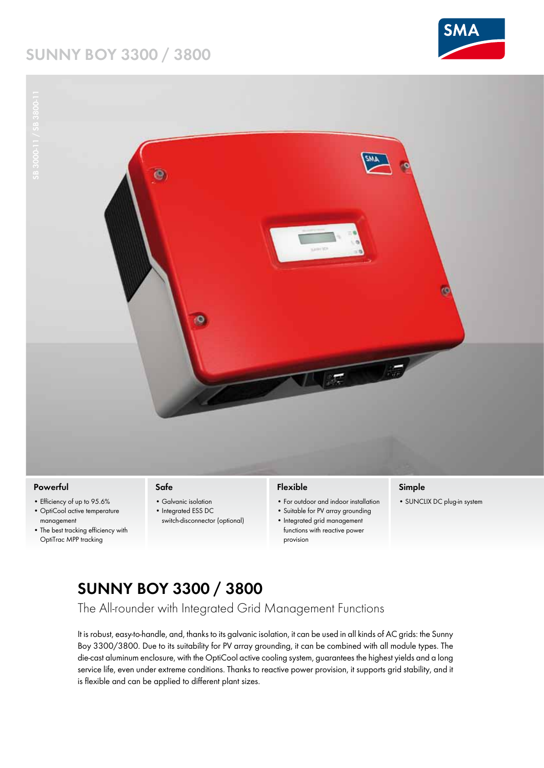### **Sunny Boy 3300 / 3800**





#### **Powerful**

- • Efficiency of up to 95.6%
- • OptiCool active temperature management
- The best tracking efficiency with OptiTrac MPP tracking

#### **Safe**

- Galvanic isolation
- Integrated ESS DC
- switch-disconnector (optional)

### **Flexible**

- • For outdoor and indoor installation
- • Suitable for PV array grounding
- • Integrated grid management functions with reactive power provision

#### **Simple**

• SUNCLIX DC plug-in system

# **SUNNY BOY 3300 / 3800**

The All-rounder with Integrated Grid Management Functions

It is robust, easy-to-handle, and, thanks to its galvanic isolation, it can be used in all kinds of AC grids: the Sunny Boy 3300/3800. Due to its suitability for PV array grounding, it can be combined with all module types. The die-cast aluminum enclosure, with the OptiCool active cooling system, guarantees the highest yields and a long service life, even under extreme conditions. Thanks to reactive power provision, it supports grid stability, and it is flexible and can be applied to different plant sizes.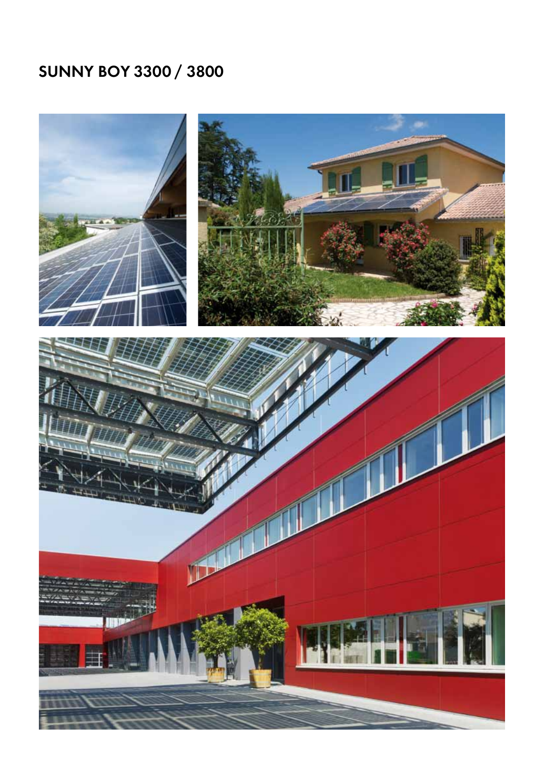# **Sunny Boy 3300 / 3800**

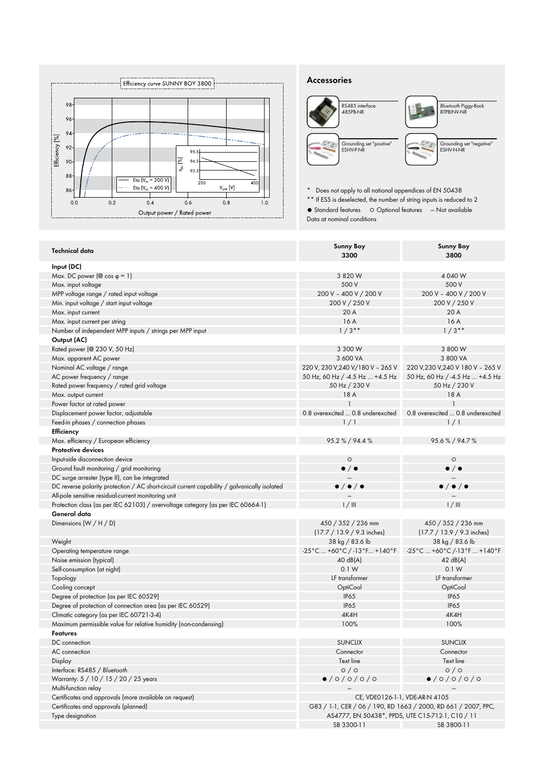

#### **Accessories**



\* Does not apply to all national appendices of EN 50438

\*\* If ESS is deselected, the number of string inputs is reduced to 2

● Standard features 
○ Optional features 
— Not available

Data at nominal conditions

| <b>Technical data</b>                                                                        | <b>Sunny Boy</b>                                                        | <b>Sunny Boy</b>                                                       |
|----------------------------------------------------------------------------------------------|-------------------------------------------------------------------------|------------------------------------------------------------------------|
|                                                                                              | 3300                                                                    | 3800                                                                   |
| Input (DC)                                                                                   |                                                                         |                                                                        |
| Max. DC power ( $@$ cos $\varphi = 1$ )                                                      | 3 820 W                                                                 | 4 040 W                                                                |
| Max. input voltage                                                                           | 500 V                                                                   | 500 V                                                                  |
| MPP voltage range / rated input voltage                                                      | 200 V - 400 V / 200 V                                                   | 200 V - 400 V / 200 V                                                  |
| Min. input voltage / start input voltage                                                     | 200 V / 250 V                                                           | 200 V / 250 V                                                          |
| Max. input current                                                                           | 20 A                                                                    | 20 A                                                                   |
| Max. input current per string                                                                | 16 A                                                                    | 16 A                                                                   |
| Number of independent MPP inputs / strings per MPP input                                     | $1/3$ **                                                                | $1/3**$                                                                |
| Output (AC)                                                                                  |                                                                         |                                                                        |
| Rated power (@ 230 V, 50 Hz)                                                                 | 3 300 W                                                                 | 3 800 W                                                                |
| Max. apparent AC power                                                                       | 3 600 VA                                                                | 3 800 VA                                                               |
| Nominal AC voltage / range                                                                   | 220 V, 230 V, 240 V/180 V - 265 V                                       | 220 V,230 V,240 V 180 V - 265 V                                        |
| AC power frequency / range                                                                   | 50 Hz, 60 Hz / -4.5 Hz  +4.5 Hz                                         | 50 Hz, 60 Hz / -4.5 Hz  +4.5 Hz                                        |
| Rated power frequency / rated grid voltage                                                   | 50 Hz / 230 V                                                           | 50 Hz / 230 V                                                          |
| Max. output current                                                                          | 18 A                                                                    | 18 A                                                                   |
| Power factor at rated power                                                                  | $\mathbf{1}$                                                            | $\mathbf{1}$                                                           |
| Displacement power factor, adjustable                                                        | 0.8 overexcited  0.8 underexcited                                       | 0.8 overexcited  0.8 underexcited                                      |
| Feed-in phases / connection phases                                                           | 1/1                                                                     | 1/1                                                                    |
| Efficiency                                                                                   |                                                                         |                                                                        |
| Max. efficiency / European efficiency                                                        | 95.2 % / 94.4 %                                                         | 95.6%/94.7%                                                            |
| <b>Protective devices</b>                                                                    |                                                                         |                                                                        |
| Input-side disconnection device                                                              | $\circ$                                                                 | $\circ$                                                                |
| Ground fault monitoring / grid monitoring                                                    | $\bullet$ / $\bullet$                                                   | $\bullet$ / $\bullet$                                                  |
| DC surge arrester (type II), can be integrated                                               |                                                                         |                                                                        |
|                                                                                              |                                                                         |                                                                        |
|                                                                                              |                                                                         |                                                                        |
| DC reverse polarity protection / AC short-circuit current capability / galvanically isolated | $\bullet$ / $\bullet$ / $\bullet$                                       | $\bullet$ / $\bullet$ / $\bullet$                                      |
| All-pole sensitive residual-current monitoring unit                                          |                                                                         |                                                                        |
| Protection class (as per IEC 62103) / overvoltage category (as per IEC 60664-1)              | 1/111                                                                   | 1/111                                                                  |
| General data                                                                                 |                                                                         |                                                                        |
| Dimensions (W / H / D)                                                                       | 450 / 352 / 236 mm                                                      | 450 / 352 / 236 mm                                                     |
|                                                                                              | $(17.7 / 13.9 / 9.3$ inches)                                            | $(17.7 / 13.9 / 9.3$ inches)                                           |
| Weight                                                                                       | 38 kg / 83.6 lb                                                         | 38 kg / 83.6 lb                                                        |
| Operating temperature range                                                                  | $-25^{\circ}$ C  +60 $^{\circ}$ C / -13 $^{\circ}$ F  +140 $^{\circ}$ F | $-25^{\circ}$ C  +60 $^{\circ}$ C /-13 $^{\circ}$ F  +140 $^{\circ}$ F |
| Noise emission (typical)                                                                     | 40 dB(A)                                                                | 42 dB(A)                                                               |
| Self-consumption (at night)                                                                  | 0.1 W                                                                   | 0.1 W                                                                  |
| Topology                                                                                     | LF transformer                                                          | LF transformer                                                         |
| Cooling concept                                                                              | OptiCool                                                                | OptiCool                                                               |
| Degree of protection (as per IEC 60529)                                                      | <b>IP65</b>                                                             | <b>IP65</b>                                                            |
| Degree of protection of connection area (as per IEC 60529)                                   | <b>IP65</b>                                                             | <b>IP65</b>                                                            |
| Climatic category (as per IEC 60721-3-4)                                                     | 4K4H                                                                    | 4K4H                                                                   |
| Maximum permissible value for relative humidity (non-condensing)                             | 100%                                                                    | 100%                                                                   |
| <b>Features</b>                                                                              |                                                                         |                                                                        |
| DC connection                                                                                | <b>SUNCLIX</b>                                                          | <b>SUNCLIX</b>                                                         |
| AC connection                                                                                | Connector                                                               | Connector                                                              |
| Display                                                                                      | Text line                                                               | Text line                                                              |
| Interface: RS485 / Bluetooth                                                                 | O/O                                                                     | 0/0                                                                    |
| Warranty: 5 / 10 / 15 / 20 / 25 years                                                        | 0/0/0/0/0                                                               | 0/0/0/0/0                                                              |
| Multi-function relay                                                                         |                                                                         |                                                                        |
| Certificates and approvals (more available on request)                                       |                                                                         | CE, VDE0126-1-1, VDE-AR-N 4105                                         |
| Certificates and approvals (planned)                                                         |                                                                         | G83 / 1-1, CER / 06 / 190, RD 1663 / 2000, RD 661 / 2007, PPC,         |
| Type designation                                                                             | AS4777, EN 50438*, PPDS, UTE C15-712-1, C10 / 11<br>SB 3300-11          | SB 3800-11                                                             |